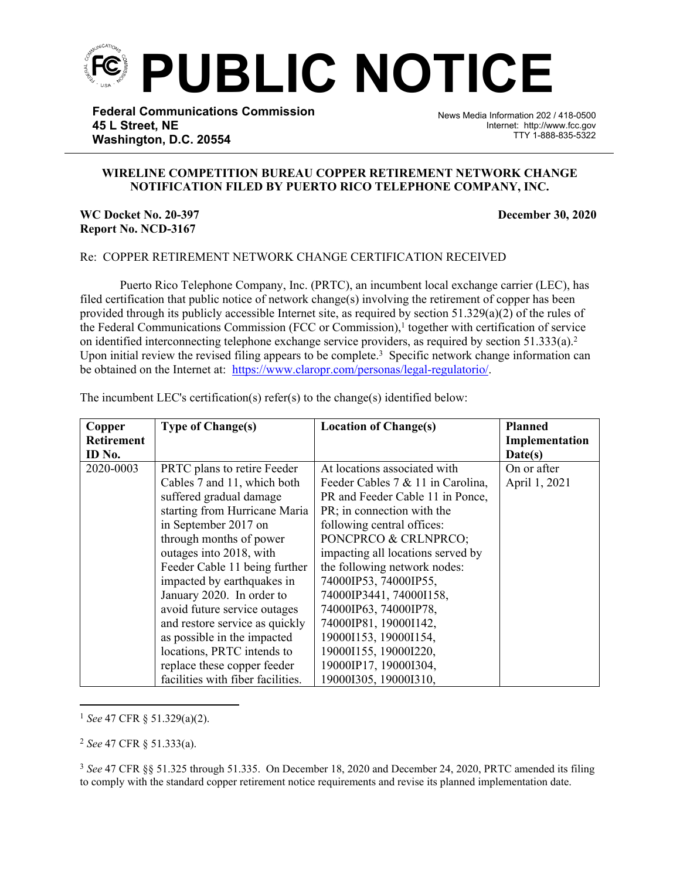

**Federal Communications Commission 45 L Street, NE Washington, D.C. 20554**

News Media Information 202 / 418-0500 Internet: http://www.fcc.gov TTY 1-888-835-5322

## **WIRELINE COMPETITION BUREAU COPPER RETIREMENT NETWORK CHANGE NOTIFICATION FILED BY PUERTO RICO TELEPHONE COMPANY, INC.**

֡֡֡֡

## **WC Docket No. 20-397 December 30, 2020 Report No. NCD-3167**

## Re: COPPER RETIREMENT NETWORK CHANGE CERTIFICATION RECEIVED

Puerto Rico Telephone Company, Inc. (PRTC), an incumbent local exchange carrier (LEC), has filed certification that public notice of network change(s) involving the retirement of copper has been provided through its publicly accessible Internet site, as required by section  $51.329(a)(2)$  of the rules of the Federal Communications Commission (FCC or Commission),<sup>1</sup> together with certification of service on identified interconnecting telephone exchange service providers, as required by section 51.333(a).<sup>2</sup> Upon initial review the revised filing appears to be complete.<sup>3</sup> Specific network change information can be obtained on the Internet at: <https://www.claropr.com/personas/legal-regulatorio/>.

| Copper            | <b>Type of Change(s)</b>          | <b>Location of Change(s)</b>      | <b>Planned</b> |
|-------------------|-----------------------------------|-----------------------------------|----------------|
| <b>Retirement</b> |                                   |                                   | Implementation |
| ID No.            |                                   |                                   | Date(s)        |
| 2020-0003         | PRTC plans to retire Feeder       | At locations associated with      | On or after    |
|                   | Cables 7 and 11, which both       | Feeder Cables 7 & 11 in Carolina, | April 1, 2021  |
|                   | suffered gradual damage           | PR and Feeder Cable 11 in Ponce,  |                |
|                   | starting from Hurricane Maria     | PR; in connection with the        |                |
|                   | in September 2017 on              | following central offices:        |                |
|                   | through months of power           | PONCPRCO & CRLNPRCO;              |                |
|                   | outages into 2018, with           | impacting all locations served by |                |
|                   | Feeder Cable 11 being further     | the following network nodes:      |                |
|                   | impacted by earthquakes in        | 74000IP53, 74000IP55,             |                |
|                   | January 2020. In order to         | 74000IP3441, 74000I158,           |                |
|                   | avoid future service outages      | 74000IP63, 74000IP78,             |                |
|                   | and restore service as quickly    | 74000IP81, 19000I142,             |                |
|                   | as possible in the impacted       | 19000I153, 19000I154,             |                |
|                   | locations, PRTC intends to        | 19000I155, 19000I220,             |                |
|                   | replace these copper feeder       | 19000IP17, 19000I304,             |                |
|                   | facilities with fiber facilities. | 19000I305, 19000I310,             |                |

The incumbent LEC's certification(s) refer(s) to the change(s) identified below:

<sup>1</sup> *See* 47 CFR § 51.329(a)(2).

<sup>2</sup> *See* 47 CFR § 51.333(a).

<sup>3</sup> *See* 47 CFR §§ 51.325 through 51.335. On December 18, 2020 and December 24, 2020, PRTC amended its filing to comply with the standard copper retirement notice requirements and revise its planned implementation date.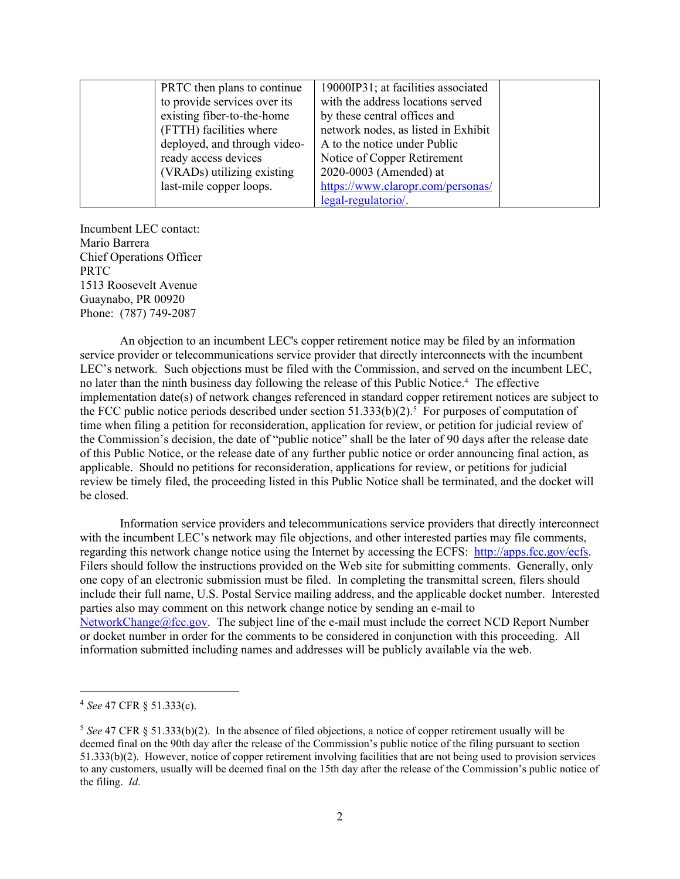| PRTC then plans to continue  | 19000IP31; at facilities associated |  |
|------------------------------|-------------------------------------|--|
| to provide services over its | with the address locations served   |  |
| existing fiber-to-the-home   | by these central offices and        |  |
| (FTTH) facilities where      | network nodes, as listed in Exhibit |  |
| deployed, and through video- | A to the notice under Public        |  |
| ready access devices         | Notice of Copper Retirement         |  |
| (VRADs) utilizing existing   | 2020-0003 (Amended) at              |  |
| last-mile copper loops.      | https://www.claropr.com/personas/   |  |
|                              | legal-regulatorio/.                 |  |

Incumbent LEC contact: Mario Barrera Chief Operations Officer PRTC 1513 Roosevelt Avenue Guaynabo, PR 00920 Phone: (787) 749-2087

An objection to an incumbent LEC's copper retirement notice may be filed by an information service provider or telecommunications service provider that directly interconnects with the incumbent LEC's network. Such objections must be filed with the Commission, and served on the incumbent LEC, no later than the ninth business day following the release of this Public Notice.<sup>4</sup> The effective implementation date(s) of network changes referenced in standard copper retirement notices are subject to the FCC public notice periods described under section  $51.333(b)(2)$ .<sup>5</sup> For purposes of computation of time when filing a petition for reconsideration, application for review, or petition for judicial review of the Commission's decision, the date of "public notice" shall be the later of 90 days after the release date of this Public Notice, or the release date of any further public notice or order announcing final action, as applicable. Should no petitions for reconsideration, applications for review, or petitions for judicial review be timely filed, the proceeding listed in this Public Notice shall be terminated, and the docket will be closed.

Information service providers and telecommunications service providers that directly interconnect with the incumbent LEC's network may file objections, and other interested parties may file comments, regarding this network change notice using the Internet by accessing the ECFS: [http://apps.fcc.gov/ecfs.](http://apps.fcc.gov/ecfs) Filers should follow the instructions provided on the Web site for submitting comments. Generally, only one copy of an electronic submission must be filed. In completing the transmittal screen, filers should include their full name, U.S. Postal Service mailing address, and the applicable docket number. Interested parties also may comment on this network change notice by sending an e-mail to [NetworkChange@fcc.gov.](mailto:NetworkChange@fcc.gov) The subject line of the e-mail must include the correct NCD Report Number or docket number in order for the comments to be considered in conjunction with this proceeding. All information submitted including names and addresses will be publicly available via the web.

<sup>4</sup> *See* 47 CFR § 51.333(c).

<sup>5</sup> *See* 47 CFR § 51.333(b)(2). In the absence of filed objections, a notice of copper retirement usually will be deemed final on the 90th day after the release of the Commission's public notice of the filing pursuant to section 51.333(b)(2). However, notice of copper retirement involving facilities that are not being used to provision services to any customers, usually will be deemed final on the 15th day after the release of the Commission's public notice of the filing. *Id*.